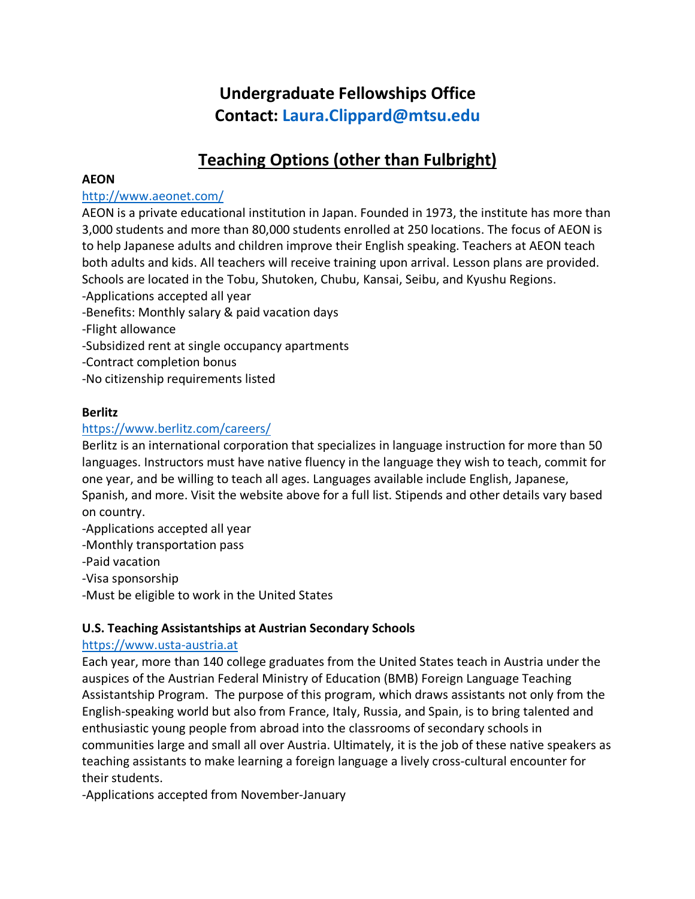# **Undergraduate Fellowships Office Contact: Laura.Clippard@mtsu.edu**

# **Teaching Options (other than Fulbright)**

#### **AEON**

# http://www.aeonet.com/

AEON is a private educational institution in Japan. Founded in 1973, the institute has more than 3,000 students and more than 80,000 students enrolled at 250 locations. The focus of AEON is to help Japanese adults and children improve their English speaking. Teachers at AEON teach both adults and kids. All teachers will receive training upon arrival. Lesson plans are provided. Schools are located in the Tobu, Shutoken, Chubu, Kansai, Seibu, and Kyushu Regions.

-Applications accepted all year

-Benefits: Monthly salary & paid vacation days

-Flight allowance

-Subsidized rent at single occupancy apartments

-Contract completion bonus

-No citizenship requirements listed

#### **Berlitz**

# https://www.berlitz.com/careers/

Berlitz is an international corporation that specializes in language instruction for more than 50 languages. Instructors must have native fluency in the language they wish to teach, commit for one year, and be willing to teach all ages. Languages available include English, Japanese, Spanish, and more. Visit the website above for a full list. Stipends and other details vary based on country.

-Applications accepted all year

-Monthly transportation pass

-Paid vacation

-Visa sponsorship

-Must be eligible to work in the United States

# **U.S. Teaching Assistantships at Austrian Secondary Schools**

# https://www.usta-austria.at

Each year, more than 140 college graduates from the United States teach in Austria under the auspices of the Austrian Federal Ministry of Education (BMB) Foreign Language Teaching Assistantship Program. The purpose of this program, which draws assistants not only from the English-speaking world but also from France, Italy, Russia, and Spain, is to bring talented and enthusiastic young people from abroad into the classrooms of secondary schools in communities large and small all over Austria. Ultimately, it is the job of these native speakers as teaching assistants to make learning a foreign language a lively cross-cultural encounter for their students.

-Applications accepted from November-January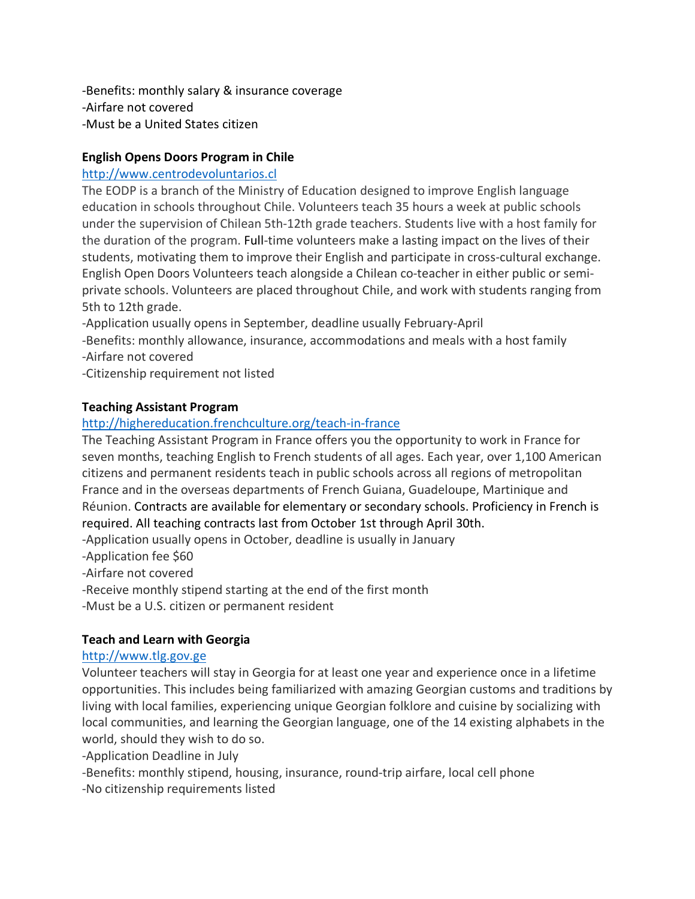-Benefits: monthly salary & insurance coverage -Airfare not covered -Must be a United States citizen

# **English Opens Doors Program in Chile**

# http://www.centrodevoluntarios.cl

The EODP is a branch of the Ministry of Education designed to improve English language education in schools throughout Chile. Volunteers teach 35 hours a week at public schools under the supervision of Chilean 5th-12th grade teachers. Students live with a host family for the duration of the program. Full-time volunteers make a lasting impact on the lives of their students, motivating them to improve their English and participate in cross-cultural exchange. English Open Doors Volunteers teach alongside a Chilean co-teacher in either public or semiprivate schools. Volunteers are placed throughout Chile, and work with students ranging from 5th to 12th grade.

-Application usually opens in September, deadline usually February-April -Benefits: monthly allowance, insurance, accommodations and meals with a host family -Airfare not covered

-Citizenship requirement not listed

# **Teaching Assistant Program**

# http://highereducation.frenchculture.org/teach-in-france

The Teaching Assistant Program in France offers you the opportunity to work in France for seven months, teaching English to French students of all ages. Each year, over 1,100 American citizens and permanent residents teach in public schools across all regions of metropolitan France and in the overseas departments of French Guiana, Guadeloupe, Martinique and Réunion. Contracts are available for elementary or secondary schools. Proficiency in French is required. All teaching contracts last from October 1st through April 30th.

-Application usually opens in October, deadline is usually in January

-Application fee \$60

-Airfare not covered

-Receive monthly stipend starting at the end of the first month

-Must be a U.S. citizen or permanent resident

# **Teach and Learn with Georgia**

# http://www.tlg.gov.ge

Volunteer teachers will stay in Georgia for at least one year and experience once in a lifetime opportunities. This includes being familiarized with amazing Georgian customs and traditions by living with local families, experiencing unique Georgian folklore and cuisine by socializing with local communities, and learning the Georgian language, one of the 14 existing alphabets in the world, should they wish to do so.

-Application Deadline in July

-Benefits: monthly stipend, housing, insurance, round-trip airfare, local cell phone

-No citizenship requirements listed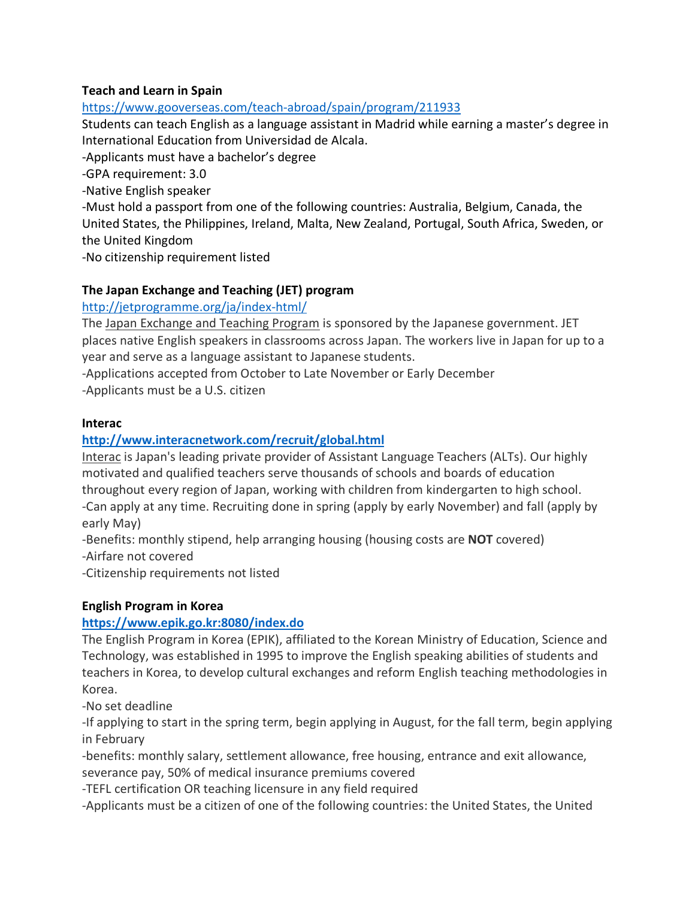# **Teach and Learn in Spain**

# https://www.gooverseas.com/teach-abroad/spain/program/211933

Students can teach English as a language assistant in Madrid while earning a master's degree in International Education from Universidad de Alcala.

-Applicants must have a bachelor's degree

-GPA requirement: 3.0

-Native English speaker

-Must hold a passport from one of the following countries: Australia, Belgium, Canada, the United States, the Philippines, Ireland, Malta, New Zealand, Portugal, South Africa, Sweden, or the United Kingdom

-No citizenship requirement listed

# **The Japan Exchange and Teaching (JET) program**

#### http://jetprogramme.org/ja/index-html/

The Japan Exchange and Teaching Program is sponsored by the Japanese government. JET places native English speakers in classrooms across Japan. The workers live in Japan for up to a year and serve as a language assistant to Japanese students.

-Applications accepted from October to Late November or Early December -Applicants must be a U.S. citizen

#### **Interac**

# **http://www.interacnetwork.com/recruit/global.html**

Interac is Japan's leading private provider of Assistant Language Teachers (ALTs). Our highly motivated and qualified teachers serve thousands of schools and boards of education throughout every region of Japan, working with children from kindergarten to high school. -Can apply at any time. Recruiting done in spring (apply by early November) and fall (apply by early May)

-Benefits: monthly stipend, help arranging housing (housing costs are **NOT** covered) -Airfare not covered

-Citizenship requirements not listed

# **English Program in Korea**

# **https://www.epik.go.kr:8080/index.do**

The English Program in Korea (EPIK), affiliated to the Korean Ministry of Education, Science and Technology, was established in 1995 to improve the English speaking abilities of students and teachers in Korea, to develop cultural exchanges and reform English teaching methodologies in Korea.

-No set deadline

-If applying to start in the spring term, begin applying in August, for the fall term, begin applying in February

-benefits: monthly salary, settlement allowance, free housing, entrance and exit allowance, severance pay, 50% of medical insurance premiums covered

-TEFL certification OR teaching licensure in any field required

-Applicants must be a citizen of one of the following countries: the United States, the United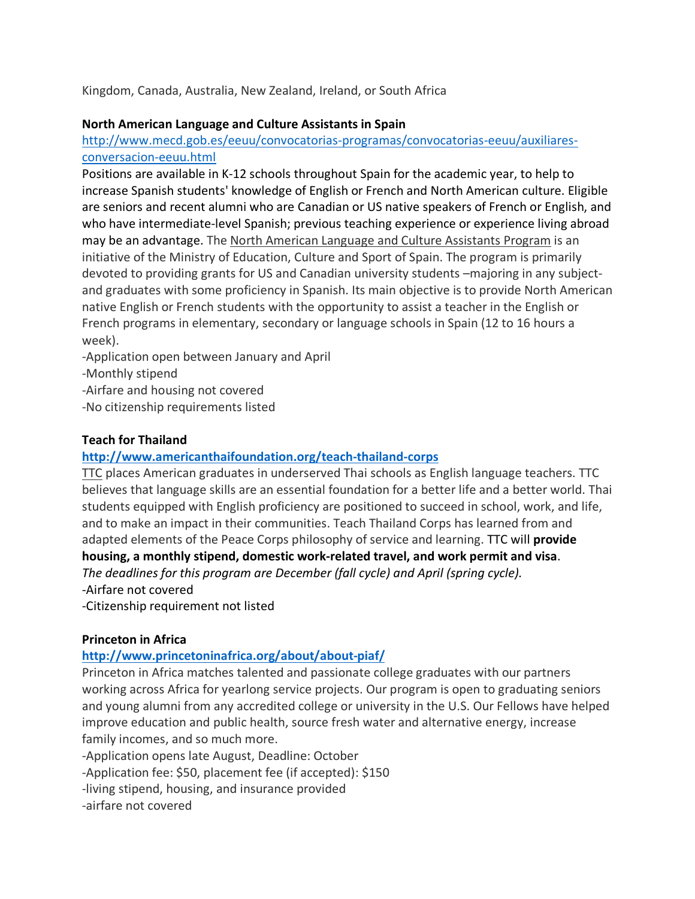Kingdom, Canada, Australia, New Zealand, Ireland, or South Africa

#### **North American Language and Culture Assistants in Spain**

http://www.mecd.gob.es/eeuu/convocatorias-programas/convocatorias-eeuu/auxiliaresconversacion-eeuu.html

Positions are available in K-12 schools throughout Spain for the academic year, to help to increase Spanish students' knowledge of English or French and North American culture. Eligible are seniors and recent alumni who are Canadian or US native speakers of French or English, and who have intermediate-level Spanish; previous teaching experience or experience living abroad may be an advantage. The North American Language and Culture Assistants Program is an initiative of the Ministry of Education, Culture and Sport of Spain. The program is primarily devoted to providing grants for US and Canadian university students –majoring in any subjectand graduates with some proficiency in Spanish. Its main objective is to provide North American native English or French students with the opportunity to assist a teacher in the English or French programs in elementary, secondary or language schools in Spain (12 to 16 hours a week).

-Application open between January and April

-Monthly stipend

-Airfare and housing not covered

-No citizenship requirements listed

# **Teach for Thailand**

#### **http://www.americanthaifoundation.org/teach-thailand-corps**

TTC places American graduates in underserved Thai schools as English language teachers. TTC believes that language skills are an essential foundation for a better life and a better world. Thai students equipped with English proficiency are positioned to succeed in school, work, and life, and to make an impact in their communities. Teach Thailand Corps has learned from and adapted elements of the Peace Corps philosophy of service and learning. TTC will **provide housing, a monthly stipend, domestic work-related travel, and work permit and visa**. *The deadlines for this program are December (fall cycle) and April (spring cycle).*

-Airfare not covered

-Citizenship requirement not listed

#### **Princeton in Africa**

# **http://www.princetoninafrica.org/about/about-piaf/**

Princeton in Africa matches talented and passionate college graduates with our partners working across Africa for yearlong service projects. Our program is open to graduating seniors and young alumni from any accredited college or university in the U.S. Our Fellows have helped improve education and public health, source fresh water and alternative energy, increase family incomes, and so much more.

-Application opens late August, Deadline: October

-Application fee: \$50, placement fee (if accepted): \$150

-living stipend, housing, and insurance provided

-airfare not covered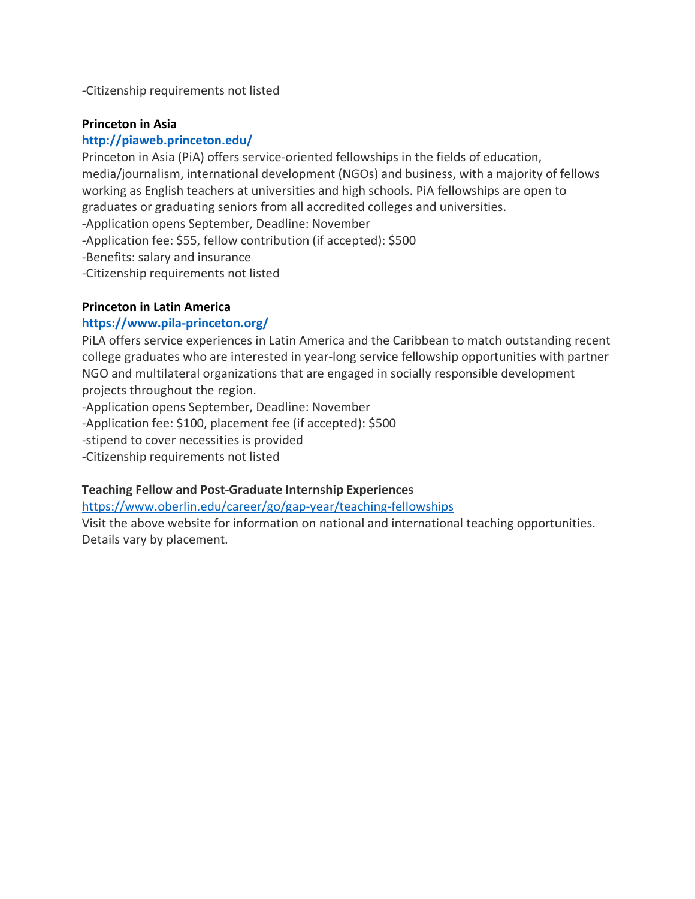-Citizenship requirements not listed

#### **Princeton in Asia**

### **http://piaweb.princeton.edu/**

Princeton in Asia (PiA) offers service-oriented fellowships in the fields of education, media/journalism, international development (NGOs) and business, with a majority of fellows working as English teachers at universities and high schools. PiA fellowships are open to graduates or graduating seniors from all accredited colleges and universities.

-Application opens September, Deadline: November

-Application fee: \$55, fellow contribution (if accepted): \$500

-Benefits: salary and insurance

-Citizenship requirements not listed

#### **Princeton in Latin America**

#### **https://www.pila-princeton.org/**

PiLA offers service experiences in Latin America and the Caribbean to match outstanding recent college graduates who are interested in year-long service fellowship opportunities with partner NGO and multilateral organizations that are engaged in socially responsible development projects throughout the region.

-Application opens September, Deadline: November

-Application fee: \$100, placement fee (if accepted): \$500

-stipend to cover necessities is provided

-Citizenship requirements not listed

#### **Teaching Fellow and Post-Graduate Internship Experiences**

https://www.oberlin.edu/career/go/gap-year/teaching-fellowships

Visit the above website for information on national and international teaching opportunities. Details vary by placement.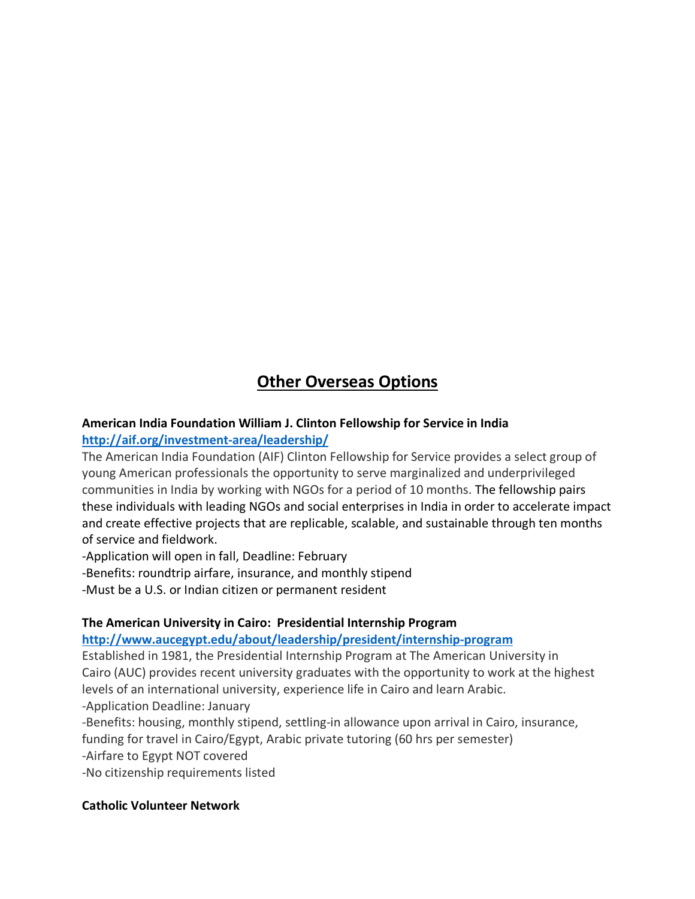# **Other Overseas Options**

# **American India Foundation William J. Clinton Fellowship for Service in India**

# **http://aif.org/investment-area/leadership/**

The American India Foundation (AIF) Clinton Fellowship for Service provides a select group of young American professionals the opportunity to serve marginalized and underprivileged communities in India by working with NGOs for a period of 10 months. The fellowship pairs these individuals with leading NGOs and social enterprises in India in order to accelerate impact and create effective projects that are replicable, scalable, and sustainable through ten months of service and fieldwork.

-Application will open in fall, Deadline: February

-Benefits: roundtrip airfare, insurance, and monthly stipend

-Must be a U.S. or Indian citizen or permanent resident

# **The American University in Cairo: Presidential Internship Program**

# **http://www.aucegypt.edu/about/leadership/president/internship-program**

Established in 1981, the Presidential Internship Program at The American University in Cairo (AUC) provides recent university graduates with the opportunity to work at the highest levels of an international university, experience life in Cairo and learn Arabic. -Application Deadline: January

-Benefits: housing, monthly stipend, settling-in allowance upon arrival in Cairo, insurance,

funding for travel in Cairo/Egypt, Arabic private tutoring (60 hrs per semester)

-Airfare to Egypt NOT covered

-No citizenship requirements listed

# **Catholic Volunteer Network**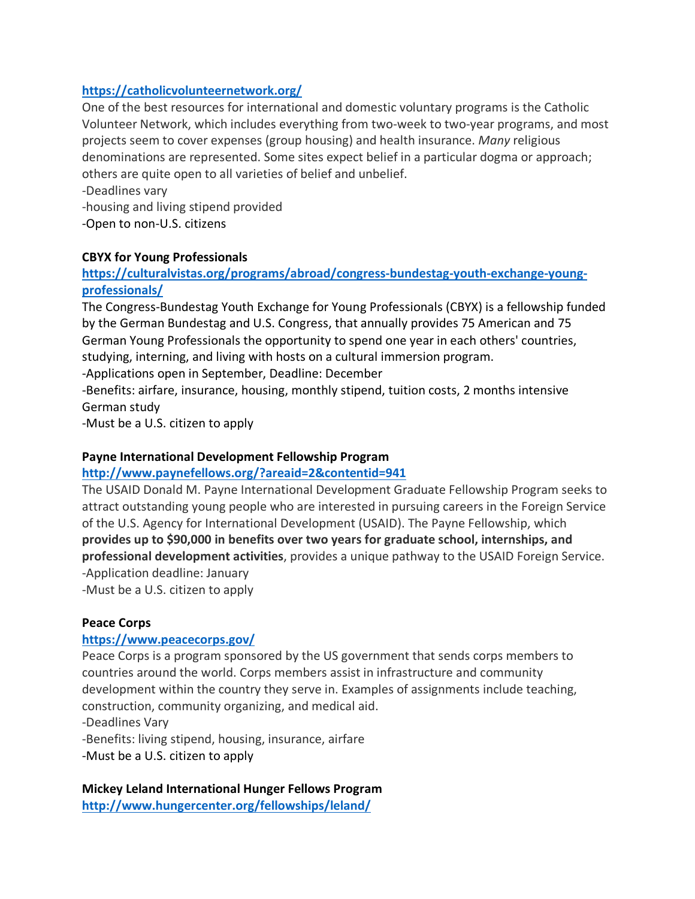# **https://catholicvolunteernetwork.org/**

One of the best resources for international and domestic voluntary programs is the Catholic Volunteer Network, which includes everything from two-week to two-year programs, and most projects seem to cover expenses (group housing) and health insurance. *Many* religious denominations are represented. Some sites expect belief in a particular dogma or approach; others are quite open to all varieties of belief and unbelief.

-Deadlines vary

-housing and living stipend provided

-Open to non-U.S. citizens

#### **CBYX for Young Professionals**

# **https://culturalvistas.org/programs/abroad/congress-bundestag-youth-exchange-youngprofessionals/**

The Congress-Bundestag Youth Exchange for Young Professionals (CBYX) is a fellowship funded by the German Bundestag and U.S. Congress, that annually provides 75 American and 75 German Young Professionals the opportunity to spend one year in each others' countries, studying, interning, and living with hosts on a cultural immersion program.

-Applications open in September, Deadline: December

-Benefits: airfare, insurance, housing, monthly stipend, tuition costs, 2 months intensive German study

-Must be a U.S. citizen to apply

#### **Payne International Development Fellowship Program**

#### **http://www.paynefellows.org/?areaid=2&contentid=941**

The USAID Donald M. Payne International Development Graduate Fellowship Program seeks to attract outstanding young people who are interested in pursuing careers in the Foreign Service of the U.S. Agency for International Development (USAID). The Payne Fellowship, which **provides up to \$90,000 in benefits over two years for graduate school, internships, and professional development activities**, provides a unique pathway to the USAID Foreign Service. -Application deadline: January

-Must be a U.S. citizen to apply

#### **Peace Corps**

#### **https://www.peacecorps.gov/**

Peace Corps is a program sponsored by the US government that sends corps members to countries around the world. Corps members assist in infrastructure and community development within the country they serve in. Examples of assignments include teaching, construction, community organizing, and medical aid.

-Deadlines Vary

-Benefits: living stipend, housing, insurance, airfare

-Must be a U.S. citizen to apply

# **Mickey Leland International Hunger Fellows Program**

**http://www.hungercenter.org/fellowships/leland/**